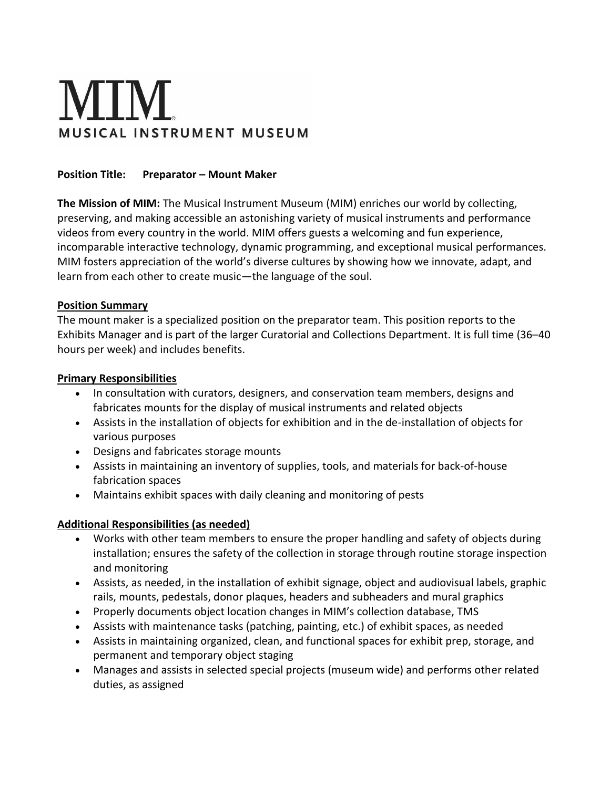# **MIM** MUSICAL INSTRUMENT MUSEUM

### **Position Title: Preparator - Mount Maker**

**The Mission of MIM:** The Musical Instrument Museum (MIM) enriches our world by collecting, preserving, and making accessible an astonishing variety of musical instruments and performance videos from every country in the world. MIM offers guests a welcoming and fun experience, incomparable interactive technology, dynamic programming, and exceptional musical performances. MIM fosters appreciation of the world's diverse cultures by showing how we innovate, adapt, and learn from each other to create music—the language of the soul.

#### **Position Summary**

The mount maker is a specialized position on the preparator team. This position reports to the Exhibits Manager and is part of the larger Curatorial and Collections Department. It is full time (36–40 hours per week) and includes benefits.

### **Primary Responsibilities**

- In consultation with curators, designers, and conservation team members, designs and fabricates mounts for the display of musical instruments and related objects
- Assists in the installation of objects for exhibition and in the de-installation of objects for various purposes
- Designs and fabricates storage mounts
- Assists in maintaining an inventory of supplies, tools, and materials for back-of-house fabrication spaces
- Maintains exhibit spaces with daily cleaning and monitoring of pests

## **Additional Responsibilities (as needed)**

- Works with other team members to ensure the proper handling and safety of objects during installation; ensures the safety of the collection in storage through routine storage inspection and monitoring
- Assists, as needed, in the installation of exhibit signage, object and audiovisual labels, graphic rails, mounts, pedestals, donor plaques, headers and subheaders and mural graphics
- Properly documents object location changes in MIM's collection database, TMS
- Assists with maintenance tasks (patching, painting, etc.) of exhibit spaces, as needed
- Assists in maintaining organized, clean, and functional spaces for exhibit prep, storage, and permanent and temporary object staging
- Manages and assists in selected special projects (museum wide) and performs other related duties, as assigned